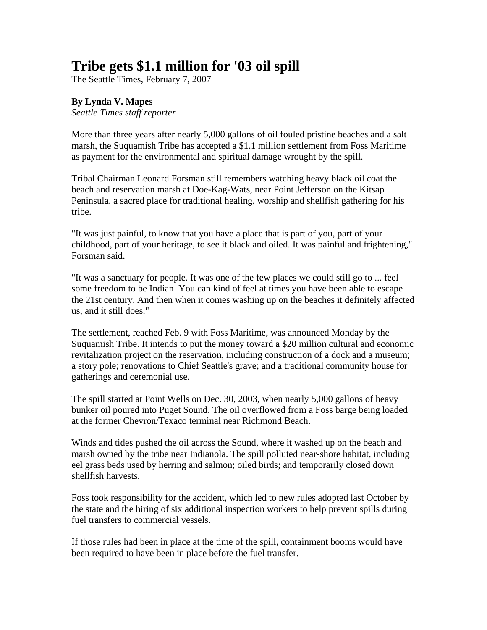## **Tribe gets \$1.1 million for '03 oil spill**

The Seattle Times, February 7, 2007

## **By Lynda V. Mapes**

*Seattle Times staff reporter*

More than three years after nearly 5,000 gallons of oil fouled pristine beaches and a salt marsh, the Suquamish Tribe has accepted a \$1.1 million settlement from Foss Maritime as payment for the environmental and spiritual damage wrought by the spill.

Tribal Chairman Leonard Forsman still remembers watching heavy black oil coat the beach and reservation marsh at Doe-Kag-Wats, near Point Jefferson on the Kitsap Peninsula, a sacred place for traditional healing, worship and shellfish gathering for his tribe.

"It was just painful, to know that you have a place that is part of you, part of your childhood, part of your heritage, to see it black and oiled. It was painful and frightening," Forsman said.

"It was a sanctuary for people. It was one of the few places we could still go to ... feel some freedom to be Indian. You can kind of feel at times you have been able to escape the 21st century. And then when it comes washing up on the beaches it definitely affected us, and it still does."

The settlement, reached Feb. 9 with Foss Maritime, was announced Monday by the Suquamish Tribe. It intends to put the money toward a \$20 million cultural and economic revitalization project on the reservation, including construction of a dock and a museum; a story pole; renovations to Chief Seattle's grave; and a traditional community house for gatherings and ceremonial use.

The spill started at Point Wells on Dec. 30, 2003, when nearly 5,000 gallons of heavy bunker oil poured into Puget Sound. The oil overflowed from a Foss barge being loaded at the former Chevron/Texaco terminal near Richmond Beach.

Winds and tides pushed the oil across the Sound, where it washed up on the beach and marsh owned by the tribe near Indianola. The spill polluted near-shore habitat, including eel grass beds used by herring and salmon; oiled birds; and temporarily closed down shellfish harvests.

Foss took responsibility for the accident, which led to new rules adopted last October by the state and the hiring of six additional inspection workers to help prevent spills during fuel transfers to commercial vessels.

If those rules had been in place at the time of the spill, containment booms would have been required to have been in place before the fuel transfer.